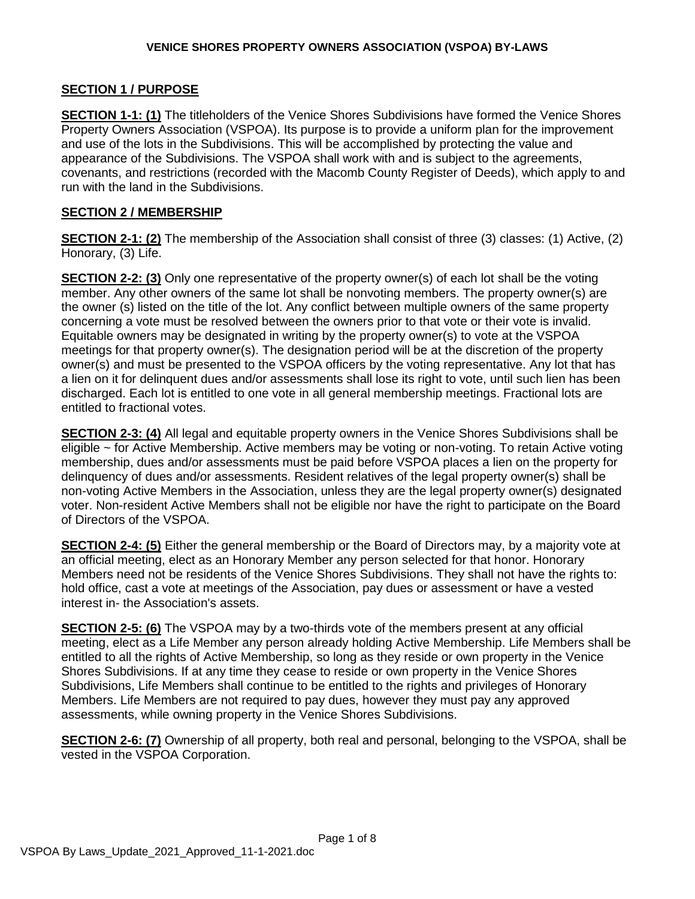#### **SECTION 1 / PURPOSE**

**SECTION 1-1: (1)** The titleholders of the Venice Shores Subdivisions have formed the Venice Shores Property Owners Association (VSPOA). Its purpose is to provide a uniform plan for the improvement and use of the lots in the Subdivisions. This will be accomplished by protecting the value and appearance of the Subdivisions. The VSPOA shall work with and is subject to the agreements, covenants, and restrictions (recorded with the Macomb County Register of Deeds), which apply to and run with the land in the Subdivisions.

#### **SECTION 2 / MEMBERSHIP**

**SECTION 2-1: (2)** The membership of the Association shall consist of three (3) classes: (1) Active, (2) Honorary, (3) Life.

**SECTION 2-2: (3)** Only one representative of the property owner(s) of each lot shall be the voting member. Any other owners of the same lot shall be nonvoting members. The property owner(s) are the owner (s) listed on the title of the lot. Any conflict between multiple owners of the same property concerning a vote must be resolved between the owners prior to that vote or their vote is invalid. Equitable owners may be designated in writing by the property owner(s) to vote at the VSPOA meetings for that property owner(s). The designation period will be at the discretion of the property owner(s) and must be presented to the VSPOA officers by the voting representative. Any lot that has a lien on it for delinquent dues and/or assessments shall lose its right to vote, until such lien has been discharged. Each lot is entitled to one vote in all general membership meetings. Fractional lots are entitled to fractional votes.

**SECTION 2-3: (4)** All legal and equitable property owners in the Venice Shores Subdivisions shall be eligible ~ for Active Membership. Active members may be voting or non-voting. To retain Active voting membership, dues and/or assessments must be paid before VSPOA places a lien on the property for delinquency of dues and/or assessments. Resident relatives of the legal property owner(s) shall be non-voting Active Members in the Association, unless they are the legal property owner(s) designated voter. Non-resident Active Members shall not be eligible nor have the right to participate on the Board of Directors of the VSPOA.

**SECTION 2-4: (5)** Either the general membership or the Board of Directors may, by a majority vote at an official meeting, elect as an Honorary Member any person selected for that honor. Honorary Members need not be residents of the Venice Shores Subdivisions. They shall not have the rights to: hold office, cast a vote at meetings of the Association, pay dues or assessment or have a vested interest in- the Association's assets.

**SECTION 2-5: (6)** The VSPOA may by a two-thirds vote of the members present at any official meeting, elect as a Life Member any person already holding Active Membership. Life Members shall be entitled to all the rights of Active Membership, so long as they reside or own property in the Venice Shores Subdivisions. If at any time they cease to reside or own property in the Venice Shores Subdivisions, Life Members shall continue to be entitled to the rights and privileges of Honorary Members. Life Members are not required to pay dues, however they must pay any approved assessments, while owning property in the Venice Shores Subdivisions.

**SECTION 2-6: (7)** Ownership of all property, both real and personal, belonging to the VSPOA, shall be vested in the VSPOA Corporation.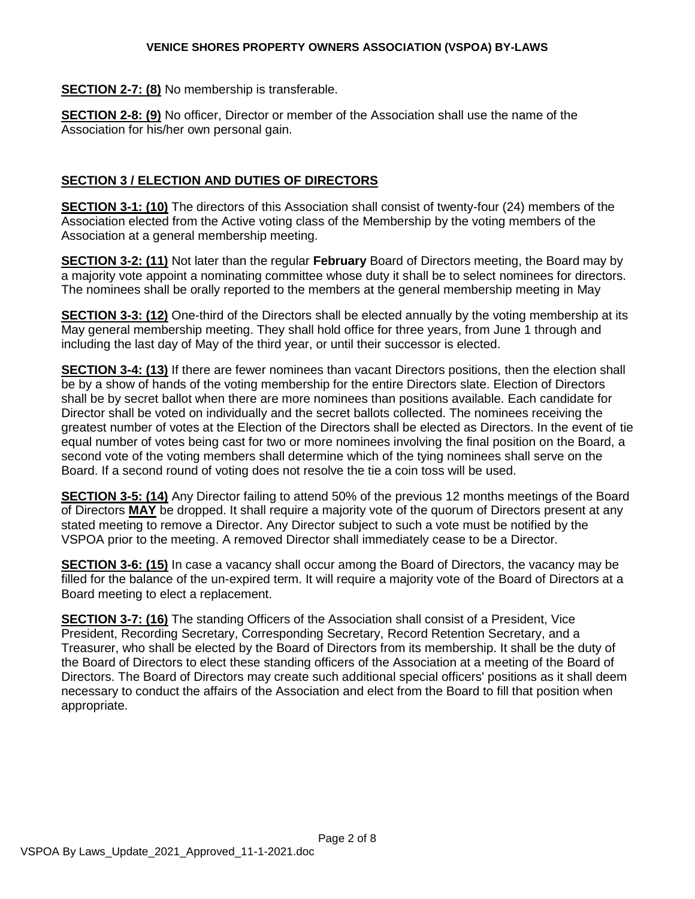**SECTION 2-7: (8)** No membership is transferable.

**SECTION 2-8: (9)** No officer, Director or member of the Association shall use the name of the Association for his/her own personal gain.

# **SECTION 3 / ELECTION AND DUTIES OF DIRECTORS**

**SECTION 3-1: (10)** The directors of this Association shall consist of twenty-four (24) members of the Association elected from the Active voting class of the Membership by the voting members of the Association at a general membership meeting.

**SECTION 3-2: (11)** Not later than the regular **February** Board of Directors meeting, the Board may by a majority vote appoint a nominating committee whose duty it shall be to select nominees for directors. The nominees shall be orally reported to the members at the general membership meeting in May

**SECTION 3-3: (12)** One-third of the Directors shall be elected annually by the voting membership at its May general membership meeting. They shall hold office for three years, from June 1 through and including the last day of May of the third year, or until their successor is elected.

**SECTION 3-4: (13)** If there are fewer nominees than vacant Directors positions, then the election shall be by a show of hands of the voting membership for the entire Directors slate. Election of Directors shall be by secret ballot when there are more nominees than positions available. Each candidate for Director shall be voted on individually and the secret ballots collected. The nominees receiving the greatest number of votes at the Election of the Directors shall be elected as Directors. In the event of tie equal number of votes being cast for two or more nominees involving the final position on the Board, a second vote of the voting members shall determine which of the tying nominees shall serve on the Board. If a second round of voting does not resolve the tie a coin toss will be used.

**SECTION 3-5: (14)** Any Director failing to attend 50% of the previous 12 months meetings of the Board of Directors **MAY** be dropped. It shall require a majority vote of the quorum of Directors present at any stated meeting to remove a Director. Any Director subject to such a vote must be notified by the VSPOA prior to the meeting. A removed Director shall immediately cease to be a Director.

**SECTION 3-6: (15)** In case a vacancy shall occur among the Board of Directors, the vacancy may be filled for the balance of the un-expired term. It will require a majority vote of the Board of Directors at a Board meeting to elect a replacement.

**SECTION 3-7: (16)** The standing Officers of the Association shall consist of a President, Vice President, Recording Secretary, Corresponding Secretary, Record Retention Secretary, and a Treasurer, who shall be elected by the Board of Directors from its membership. It shall be the duty of the Board of Directors to elect these standing officers of the Association at a meeting of the Board of Directors. The Board of Directors may create such additional special officers' positions as it shall deem necessary to conduct the affairs of the Association and elect from the Board to fill that position when appropriate.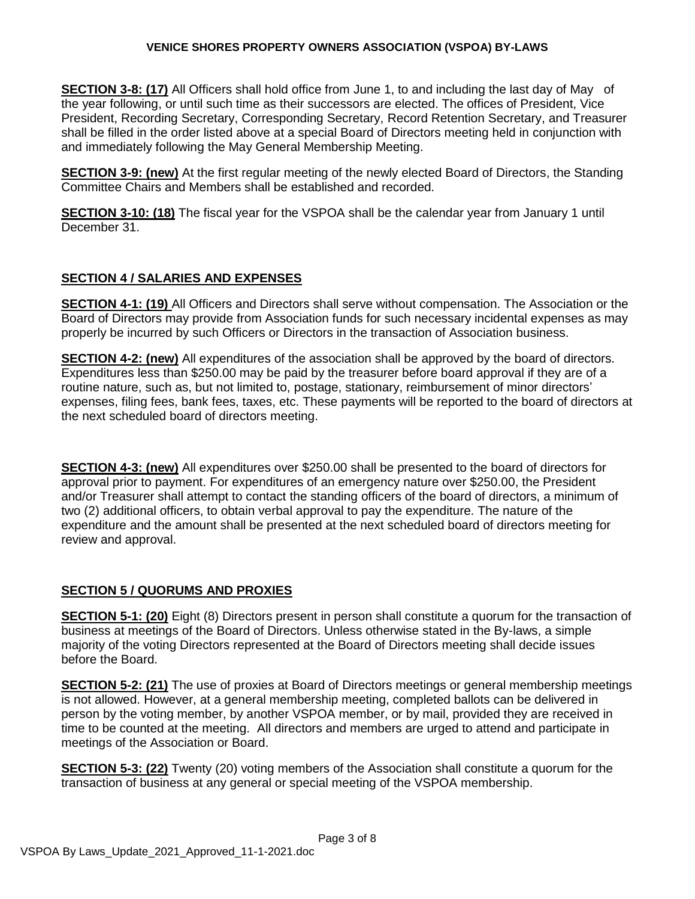**SECTION 3-8: (17)** All Officers shall hold office from June 1, to and including the last day of May of the year following, or until such time as their successors are elected. The offices of President, Vice President, Recording Secretary, Corresponding Secretary, Record Retention Secretary, and Treasurer shall be filled in the order listed above at a special Board of Directors meeting held in conjunction with and immediately following the May General Membership Meeting.

**SECTION 3-9: (new)** At the first regular meeting of the newly elected Board of Directors, the Standing Committee Chairs and Members shall be established and recorded.

**SECTION 3-10: (18)** The fiscal year for the VSPOA shall be the calendar year from January 1 until December 31.

## **SECTION 4 / SALARIES AND EXPENSES**

**SECTION 4-1: (19)** All Officers and Directors shall serve without compensation. The Association or the Board of Directors may provide from Association funds for such necessary incidental expenses as may properly be incurred by such Officers or Directors in the transaction of Association business.

**SECTION 4-2: (new)** All expenditures of the association shall be approved by the board of directors. Expenditures less than \$250.00 may be paid by the treasurer before board approval if they are of a routine nature, such as, but not limited to, postage, stationary, reimbursement of minor directors' expenses, filing fees, bank fees, taxes, etc. These payments will be reported to the board of directors at the next scheduled board of directors meeting.

**SECTION 4-3: (new)** All expenditures over \$250.00 shall be presented to the board of directors for approval prior to payment. For expenditures of an emergency nature over \$250.00, the President and/or Treasurer shall attempt to contact the standing officers of the board of directors, a minimum of two (2) additional officers, to obtain verbal approval to pay the expenditure. The nature of the expenditure and the amount shall be presented at the next scheduled board of directors meeting for review and approval.

## **SECTION 5 / QUORUMS AND PROXIES**

**SECTION 5-1: (20)** Eight (8) Directors present in person shall constitute a quorum for the transaction of business at meetings of the Board of Directors. Unless otherwise stated in the By-laws, a simple majority of the voting Directors represented at the Board of Directors meeting shall decide issues before the Board.

**SECTION 5-2: (21)** The use of proxies at Board of Directors meetings or general membership meetings is not allowed. However, at a general membership meeting, completed ballots can be delivered in person by the voting member, by another VSPOA member, or by mail, provided they are received in time to be counted at the meeting. All directors and members are urged to attend and participate in meetings of the Association or Board.

**SECTION 5-3: (22)** Twenty (20) voting members of the Association shall constitute a quorum for the transaction of business at any general or special meeting of the VSPOA membership.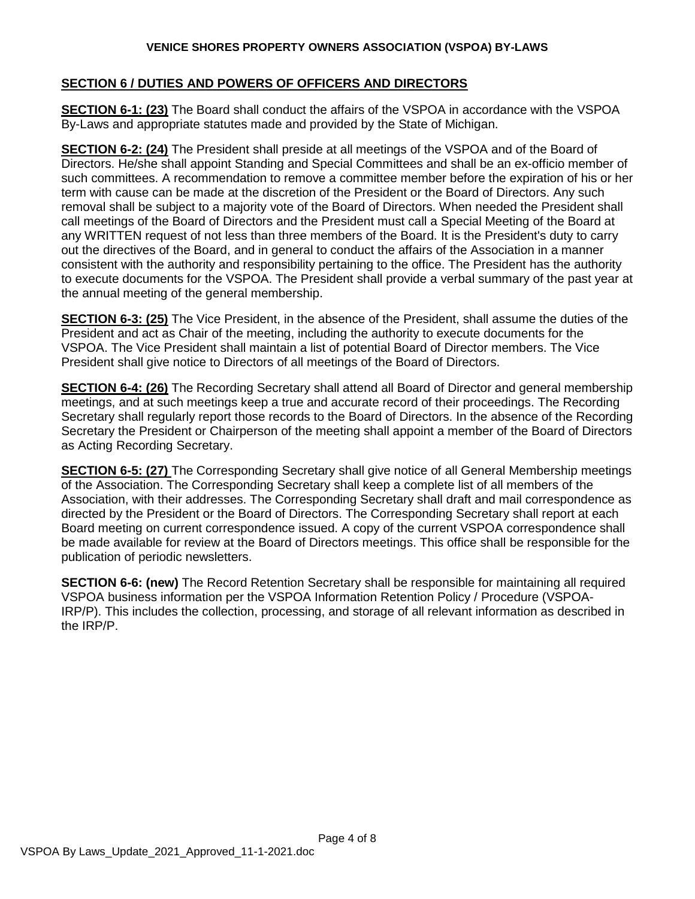### **SECTION 6 / DUTIES AND POWERS OF OFFICERS AND DIRECTORS**

**SECTION 6-1: (23)** The Board shall conduct the affairs of the VSPOA in accordance with the VSPOA By-Laws and appropriate statutes made and provided by the State of Michigan.

**SECTION 6-2: (24)** The President shall preside at all meetings of the VSPOA and of the Board of Directors. He/she shall appoint Standing and Special Committees and shall be an ex-officio member of such committees. A recommendation to remove a committee member before the expiration of his or her term with cause can be made at the discretion of the President or the Board of Directors. Any such removal shall be subject to a majority vote of the Board of Directors. When needed the President shall call meetings of the Board of Directors and the President must call a Special Meeting of the Board at any WRITTEN request of not less than three members of the Board. It is the President's duty to carry out the directives of the Board, and in general to conduct the affairs of the Association in a manner consistent with the authority and responsibility pertaining to the office. The President has the authority to execute documents for the VSPOA. The President shall provide a verbal summary of the past year at the annual meeting of the general membership.

**SECTION 6-3: (25)** The Vice President, in the absence of the President, shall assume the duties of the President and act as Chair of the meeting, including the authority to execute documents for the VSPOA. The Vice President shall maintain a list of potential Board of Director members. The Vice President shall give notice to Directors of all meetings of the Board of Directors.

**SECTION 6-4: (26)** The Recording Secretary shall attend all Board of Director and general membership meetings, and at such meetings keep a true and accurate record of their proceedings. The Recording Secretary shall regularly report those records to the Board of Directors. In the absence of the Recording Secretary the President or Chairperson of the meeting shall appoint a member of the Board of Directors as Acting Recording Secretary.

**SECTION 6-5: (27)** The Corresponding Secretary shall give notice of all General Membership meetings of the Association. The Corresponding Secretary shall keep a complete list of all members of the Association, with their addresses. The Corresponding Secretary shall draft and mail correspondence as directed by the President or the Board of Directors. The Corresponding Secretary shall report at each Board meeting on current correspondence issued. A copy of the current VSPOA correspondence shall be made available for review at the Board of Directors meetings. This office shall be responsible for the publication of periodic newsletters.

**SECTION 6-6: (new)** The Record Retention Secretary shall be responsible for maintaining all required VSPOA business information per the VSPOA Information Retention Policy / Procedure (VSPOA-IRP/P). This includes the collection, processing, and storage of all relevant information as described in the IRP/P.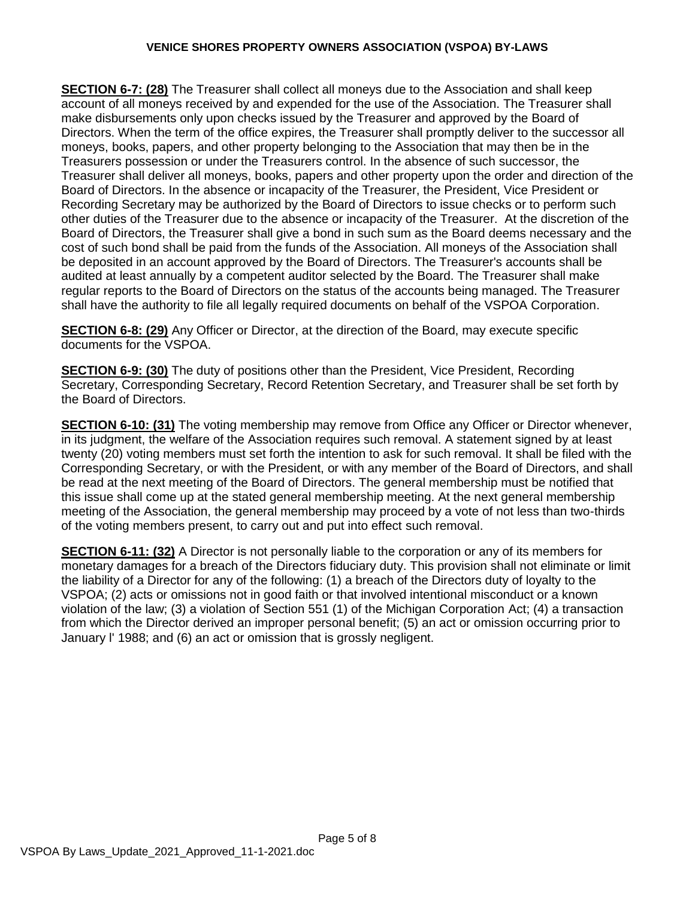**SECTION 6-7: (28)** The Treasurer shall collect all moneys due to the Association and shall keep account of all moneys received by and expended for the use of the Association. The Treasurer shall make disbursements only upon checks issued by the Treasurer and approved by the Board of Directors. When the term of the office expires, the Treasurer shall promptly deliver to the successor all moneys, books, papers, and other property belonging to the Association that may then be in the Treasurers possession or under the Treasurers control. In the absence of such successor, the Treasurer shall deliver all moneys, books, papers and other property upon the order and direction of the Board of Directors. In the absence or incapacity of the Treasurer, the President, Vice President or Recording Secretary may be authorized by the Board of Directors to issue checks or to perform such other duties of the Treasurer due to the absence or incapacity of the Treasurer. At the discretion of the Board of Directors, the Treasurer shall give a bond in such sum as the Board deems necessary and the cost of such bond shall be paid from the funds of the Association. All moneys of the Association shall be deposited in an account approved by the Board of Directors. The Treasurer's accounts shall be audited at least annually by a competent auditor selected by the Board. The Treasurer shall make regular reports to the Board of Directors on the status of the accounts being managed. The Treasurer shall have the authority to file all legally required documents on behalf of the VSPOA Corporation.

**SECTION 6-8: (29)** Any Officer or Director, at the direction of the Board, may execute specific documents for the VSPOA.

**SECTION 6-9: (30)** The duty of positions other than the President, Vice President, Recording Secretary, Corresponding Secretary, Record Retention Secretary, and Treasurer shall be set forth by the Board of Directors.

**SECTION 6-10: (31)** The voting membership may remove from Office any Officer or Director whenever, in its judgment, the welfare of the Association requires such removal. A statement signed by at least twenty (20) voting members must set forth the intention to ask for such removal. It shall be filed with the Corresponding Secretary, or with the President, or with any member of the Board of Directors, and shall be read at the next meeting of the Board of Directors. The general membership must be notified that this issue shall come up at the stated general membership meeting. At the next general membership meeting of the Association, the general membership may proceed by a vote of not less than two-thirds of the voting members present, to carry out and put into effect such removal.

**SECTION 6-11: (32)** A Director is not personally liable to the corporation or any of its members for monetary damages for a breach of the Directors fiduciary duty. This provision shall not eliminate or limit the liability of a Director for any of the following: (1) a breach of the Directors duty of loyalty to the VSPOA; (2) acts or omissions not in good faith or that involved intentional misconduct or a known violation of the law; (3) a violation of Section 551 (1) of the Michigan Corporation Act; (4) a transaction from which the Director derived an improper personal benefit; (5) an act or omission occurring prior to January l' 1988; and (6) an act or omission that is grossly negligent.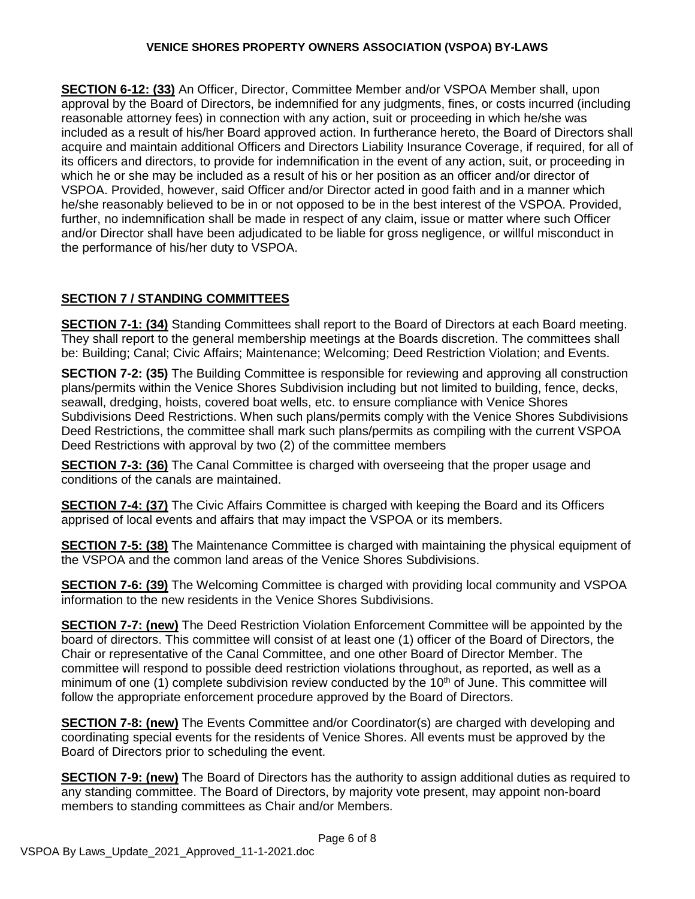**SECTION 6-12: (33)** An Officer, Director, Committee Member and/or VSPOA Member shall, upon approval by the Board of Directors, be indemnified for any judgments, fines, or costs incurred (including reasonable attorney fees) in connection with any action, suit or proceeding in which he/she was included as a result of his/her Board approved action. In furtherance hereto, the Board of Directors shall acquire and maintain additional Officers and Directors Liability Insurance Coverage, if required, for all of its officers and directors, to provide for indemnification in the event of any action, suit, or proceeding in which he or she may be included as a result of his or her position as an officer and/or director of VSPOA. Provided, however, said Officer and/or Director acted in good faith and in a manner which he/she reasonably believed to be in or not opposed to be in the best interest of the VSPOA. Provided, further, no indemnification shall be made in respect of any claim, issue or matter where such Officer and/or Director shall have been adjudicated to be liable for gross negligence, or willful misconduct in the performance of his/her duty to VSPOA.

# **SECTION 7 / STANDING COMMITTEES**

**SECTION 7-1: (34)** Standing Committees shall report to the Board of Directors at each Board meeting. They shall report to the general membership meetings at the Boards discretion. The committees shall be: Building; Canal; Civic Affairs; Maintenance; Welcoming; Deed Restriction Violation; and Events.

**SECTION 7-2: (35)** The Building Committee is responsible for reviewing and approving all construction plans/permits within the Venice Shores Subdivision including but not limited to building, fence, decks, seawall, dredging, hoists, covered boat wells, etc. to ensure compliance with Venice Shores Subdivisions Deed Restrictions. When such plans/permits comply with the Venice Shores Subdivisions Deed Restrictions, the committee shall mark such plans/permits as compiling with the current VSPOA Deed Restrictions with approval by two (2) of the committee members

**SECTION 7-3: (36)** The Canal Committee is charged with overseeing that the proper usage and conditions of the canals are maintained.

**SECTION 7-4: (37)** The Civic Affairs Committee is charged with keeping the Board and its Officers apprised of local events and affairs that may impact the VSPOA or its members.

**SECTION 7-5: (38)** The Maintenance Committee is charged with maintaining the physical equipment of the VSPOA and the common land areas of the Venice Shores Subdivisions.

**SECTION 7-6: (39)** The Welcoming Committee is charged with providing local community and VSPOA information to the new residents in the Venice Shores Subdivisions.

**SECTION 7-7: (new)** The Deed Restriction Violation Enforcement Committee will be appointed by the board of directors. This committee will consist of at least one (1) officer of the Board of Directors, the Chair or representative of the Canal Committee, and one other Board of Director Member. The committee will respond to possible deed restriction violations throughout, as reported, as well as a minimum of one (1) complete subdivision review conducted by the  $10<sup>th</sup>$  of June. This committee will follow the appropriate enforcement procedure approved by the Board of Directors.

**SECTION 7-8: (new)** The Events Committee and/or Coordinator(s) are charged with developing and coordinating special events for the residents of Venice Shores. All events must be approved by the Board of Directors prior to scheduling the event.

**SECTION 7-9: (new)** The Board of Directors has the authority to assign additional duties as required to any standing committee. The Board of Directors, by majority vote present, may appoint non-board members to standing committees as Chair and/or Members.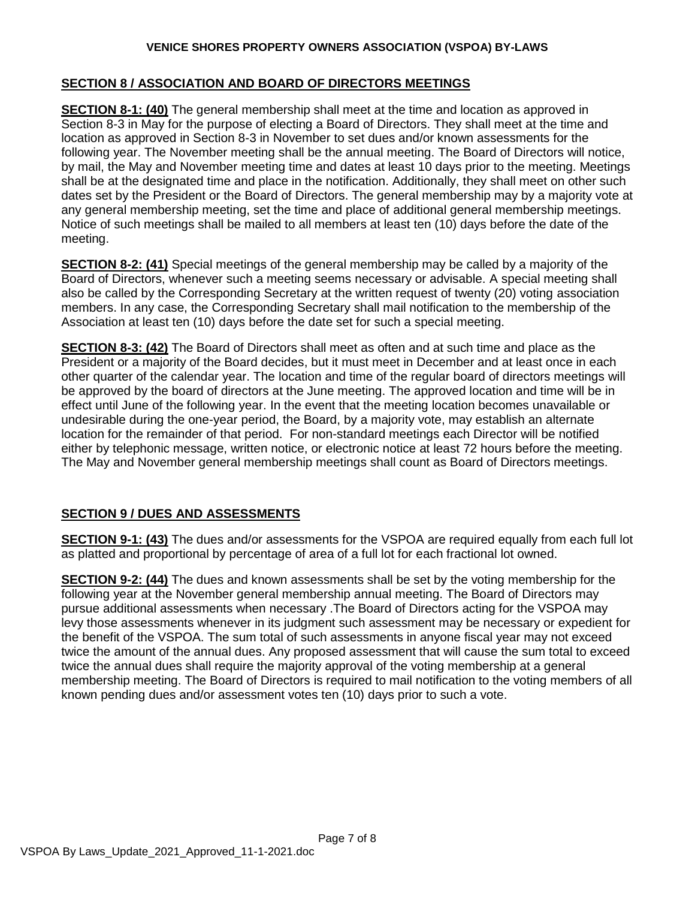### **SECTION 8 / ASSOCIATION AND BOARD OF DIRECTORS MEETINGS**

**SECTION 8-1: (40)** The general membership shall meet at the time and location as approved in Section 8-3 in May for the purpose of electing a Board of Directors. They shall meet at the time and location as approved in Section 8-3 in November to set dues and/or known assessments for the following year. The November meeting shall be the annual meeting. The Board of Directors will notice, by mail, the May and November meeting time and dates at least 10 days prior to the meeting. Meetings shall be at the designated time and place in the notification. Additionally, they shall meet on other such dates set by the President or the Board of Directors. The general membership may by a majority vote at any general membership meeting, set the time and place of additional general membership meetings. Notice of such meetings shall be mailed to all members at least ten (10) days before the date of the meeting.

**SECTION 8-2: (41)** Special meetings of the general membership may be called by a majority of the Board of Directors, whenever such a meeting seems necessary or advisable. A special meeting shall also be called by the Corresponding Secretary at the written request of twenty (20) voting association members. In any case, the Corresponding Secretary shall mail notification to the membership of the Association at least ten (10) days before the date set for such a special meeting.

**SECTION 8-3: (42)** The Board of Directors shall meet as often and at such time and place as the President or a majority of the Board decides, but it must meet in December and at least once in each other quarter of the calendar year. The location and time of the regular board of directors meetings will be approved by the board of directors at the June meeting. The approved location and time will be in effect until June of the following year. In the event that the meeting location becomes unavailable or undesirable during the one-year period, the Board, by a majority vote, may establish an alternate location for the remainder of that period. For non-standard meetings each Director will be notified either by telephonic message, written notice, or electronic notice at least 72 hours before the meeting. The May and November general membership meetings shall count as Board of Directors meetings.

## **SECTION 9 / DUES AND ASSESSMENTS**

**SECTION 9-1: (43)** The dues and/or assessments for the VSPOA are required equally from each full lot as platted and proportional by percentage of area of a full lot for each fractional lot owned.

**SECTION 9-2: (44)** The dues and known assessments shall be set by the voting membership for the following year at the November general membership annual meeting. The Board of Directors may pursue additional assessments when necessary .The Board of Directors acting for the VSPOA may levy those assessments whenever in its judgment such assessment may be necessary or expedient for the benefit of the VSPOA. The sum total of such assessments in anyone fiscal year may not exceed twice the amount of the annual dues. Any proposed assessment that will cause the sum total to exceed twice the annual dues shall require the majority approval of the voting membership at a general membership meeting. The Board of Directors is required to mail notification to the voting members of all known pending dues and/or assessment votes ten (10) days prior to such a vote.